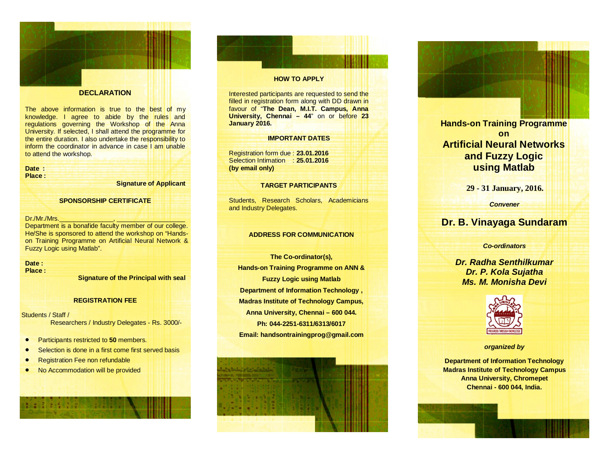

#### **DECLARATION**

The above information is true to the best of my knowledge. I agree to abide by the rules and regulations governing the Workshop of the Anna University. If selected, I shall attend the programme for the entire duration. I also undertake the responsibility to inform the coordinator in advance in case I am unable to attend the workshop.

## **Date :**

**Place :**

**Signature of Applicant** 

### **SPONSORSHIP CERTIFICATE**

#### Dr./Mr./Mrs.

Department is a bonafide faculty member of our college. He/She is sponsored to attend the workshop on "Hands on Training Programme on Artificial Neural Network & Fuzzy Logic using Matlab".

## **Date :**

**Place :** 

**Signature of the Principal with seal**

#### **REGISTRATION FEE**

Students / Staff / Researchers / Industry Delegates - Rs. 3000/-

- Participants restricted to **50** members.
- Selection is done in a first come first served basis
- Registration Fee non refundable

• No Accommodation will be provided

#### **HOW TO APPLY**

Interested participants are requested to send the filled in registration form along with DD drawn in favour of "**The Dean, M.I.T. Campus, Anna University, Chennai – 44**" on or before **23 January 2016.**

### **IMPORTANT DATES**

Registration form due : **23.01.2016**  Selection Intimation : **25.01.2016 (by email only)** 

#### **TARGET PARTICIPANTS**

Students, Research Scholars, Academicians and Industry Delegates.

### **ADDRESS FOR COMMUNICATION**

**The Co -ordinator(s), Hands -on Training Programme on ANN & Fuzzy Logic using Matlab Department of Information Technology , Madras Institute of Technology Campus, Anna University, Chennai – 600 044. Ph: 044 -2251 -6311/6313/6017 Email: handsontrainingprog@gmail.com**



**Hands -on Training Programme on Artificial Neural Networks and Fuzzy Logic using Matlab**

**29 - 31 January, 2016.**

*Convener*

# **Dr. B. Vinayaga Sundaram**

*Co -ordinators*

*Dr. Radha Senthilkumar Dr. P. Kola Sujatha Ms. M. Monisha Devi*



*organized by* 

**Department of Information Technology Madras Institute of Technology Campus Anna University, Chromepet Chennai - 600 044, India.**